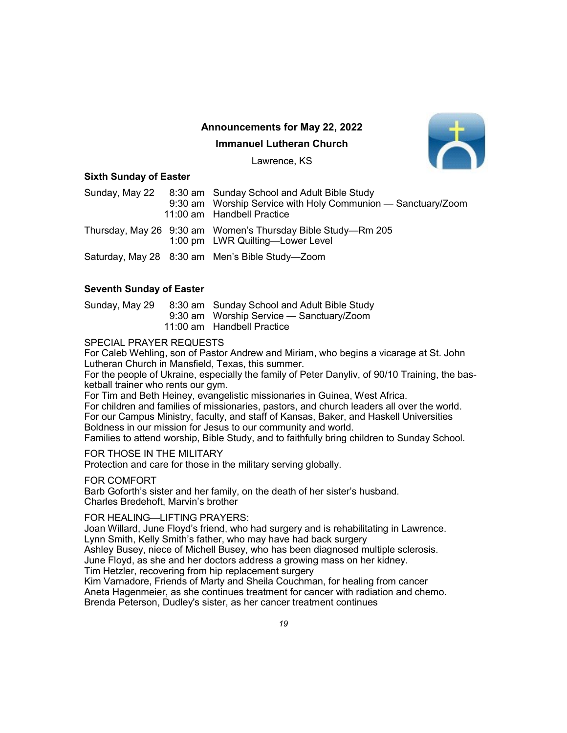# Announcements for May 22, 2022

### Immanuel Lutheran Church



Lawrence, KS

### Sixth Sunday of Easter

| Sunday, May 22 | 8:30 am Sunday School and Adult Bible Study<br>9:30 am Worship Service with Holy Communion — Sanctuary/Zoom<br>11:00 am Handbell Practice |
|----------------|-------------------------------------------------------------------------------------------------------------------------------------------|
|                | Thursday, May 26 9:30 am Women's Thursday Bible Study—Rm 205<br>1:00 pm LWR Quilting-Lower Level                                          |
|                | Saturday, May 28 8:30 am Men's Bible Study—Zoom                                                                                           |

## Seventh Sunday of Easter

Sunday, May 29 8:30 am Sunday School and Adult Bible Study 9:30 am Worship Service — Sanctuary/Zoom 11:00 am Handbell Practice

## SPECIAL PRAYER REQUESTS

For Caleb Wehling, son of Pastor Andrew and Miriam, who begins a vicarage at St. John Lutheran Church in Mansfield, Texas, this summer.

For the people of Ukraine, especially the family of Peter Danyliv, of 90/10 Training, the basketball trainer who rents our gym.

For Tim and Beth Heiney, evangelistic missionaries in Guinea, West Africa.

For children and families of missionaries, pastors, and church leaders all over the world. For our Campus Ministry, faculty, and staff of Kansas, Baker, and Haskell Universities Boldness in our mission for Jesus to our community and world.

Families to attend worship, Bible Study, and to faithfully bring children to Sunday School.

FOR THOSE IN THE MILITARY

Protection and care for those in the military serving globally.

### FOR COMFORT

Barb Goforth's sister and her family, on the death of her sister's husband. Charles Bredehoft, Marvin's brother

### FOR HEALING—LIFTING PRAYERS:

Joan Willard, June Floyd's friend, who had surgery and is rehabilitating in Lawrence. Lynn Smith, Kelly Smith's father, who may have had back surgery Ashley Busey, niece of Michell Busey, who has been diagnosed multiple sclerosis.

June Floyd, as she and her doctors address a growing mass on her kidney.

Tim Hetzler, recovering from hip replacement surgery

Kim Varnadore, Friends of Marty and Sheila Couchman, for healing from cancer Aneta Hagenmeier, as she continues treatment for cancer with radiation and chemo. Brenda Peterson, Dudley's sister, as her cancer treatment continues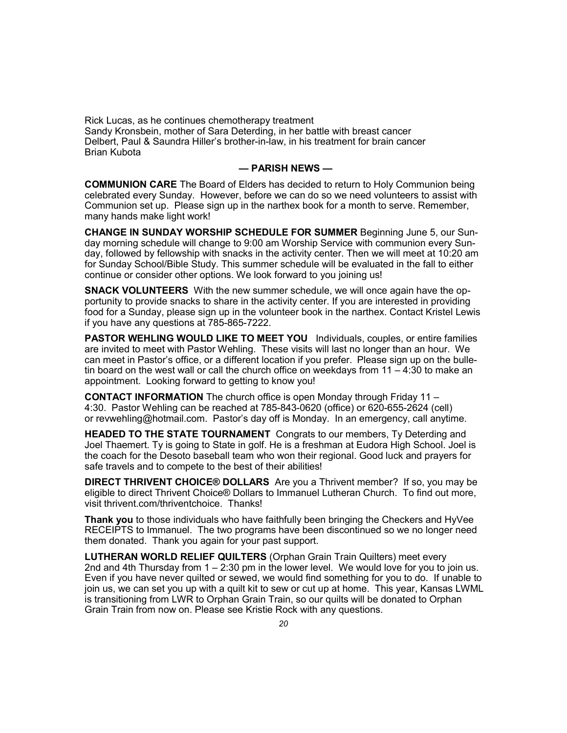Rick Lucas, as he continues chemotherapy treatment Sandy Kronsbein, mother of Sara Deterding, in her battle with breast cancer Delbert, Paul & Saundra Hiller's brother-in-law, in his treatment for brain cancer Brian Kubota

#### — PARISH NEWS —

COMMUNION CARE The Board of Elders has decided to return to Holy Communion being celebrated every Sunday. However, before we can do so we need volunteers to assist with Communion set up. Please sign up in the narthex book for a month to serve. Remember, many hands make light work!

CHANGE IN SUNDAY WORSHIP SCHEDULE FOR SUMMER Beginning June 5, our Sunday morning schedule will change to 9:00 am Worship Service with communion every Sunday, followed by fellowship with snacks in the activity center. Then we will meet at 10:20 am for Sunday School/Bible Study. This summer schedule will be evaluated in the fall to either continue or consider other options. We look forward to you joining us!

**SNACK VOLUNTEERS** With the new summer schedule, we will once again have the opportunity to provide snacks to share in the activity center. If you are interested in providing food for a Sunday, please sign up in the volunteer book in the narthex. Contact Kristel Lewis if you have any questions at 785-865-7222.

PASTOR WEHLING WOULD LIKE TO MEET YOU Individuals, couples, or entire families are invited to meet with Pastor Wehling. These visits will last no longer than an hour. We can meet in Pastor's office, or a different location if you prefer. Please sign up on the bulletin board on the west wall or call the church office on weekdays from 11 – 4:30 to make an appointment. Looking forward to getting to know you!

CONTACT INFORMATION The church office is open Monday through Friday 11 – 4:30. Pastor Wehling can be reached at 785-843-0620 (office) or 620-655-2624 (cell) or revwehling@hotmail.com. Pastor's day off is Monday. In an emergency, call anytime.

HEADED TO THE STATE TOURNAMENT Congrats to our members, Ty Deterding and Joel Thaemert. Ty is going to State in golf. He is a freshman at Eudora High School. Joel is the coach for the Desoto baseball team who won their regional. Good luck and prayers for safe travels and to compete to the best of their abilities!

**DIRECT THRIVENT CHOICE® DOLLARS** Are you a Thrivent member? If so, you may be eligible to direct Thrivent Choice® Dollars to Immanuel Lutheran Church. To find out more, visit thrivent.com/thriventchoice. Thanks!

Thank you to those individuals who have faithfully been bringing the Checkers and HyVee RECEIPTS to Immanuel. The two programs have been discontinued so we no longer need them donated. Thank you again for your past support.

LUTHERAN WORLD RELIEF QUILTERS (Orphan Grain Train Quilters) meet every 2nd and 4th Thursday from  $1 - 2.30$  pm in the lower level. We would love for you to join us. Even if you have never quilted or sewed, we would find something for you to do. If unable to join us, we can set you up with a quilt kit to sew or cut up at home. This year, Kansas LWML is transitioning from LWR to Orphan Grain Train, so our quilts will be donated to Orphan Grain Train from now on. Please see Kristie Rock with any questions.